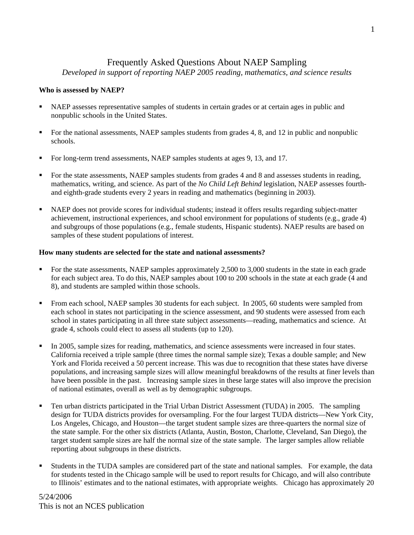# Frequently Asked Questions About NAEP Sampling

*Developed in support of reporting NAEP 2005 reading, mathematics, and science results* 

## **Who is assessed by NAEP?**

- NAEP assesses representative samples of students in certain grades or at certain ages in public and nonpublic schools in the United States.
- For the national assessments, NAEP samples students from grades 4, 8, and 12 in public and nonpublic schools.
- For long-term trend assessments, NAEP samples students at ages 9, 13, and 17.
- For the state assessments, NAEP samples students from grades 4 and 8 and assesses students in reading, mathematics, writing, and science. As part of the *No Child Left Behind* legislation, NAEP assesses fourthand eighth-grade students every 2 years in reading and mathematics (beginning in 2003).
- NAEP does not provide scores for individual students; instead it offers results regarding subject-matter achievement, instructional experiences, and school environment for populations of students (e.g., grade 4) and subgroups of those populations (e.g., female students, Hispanic students). NAEP results are based on samples of these student populations of interest.

### **How many students are selected for the state and national assessments?**

- For the state assessments, NAEP samples approximately  $2,500$  to 3,000 students in the state in each grade for each subject area. To do this, NAEP samples about 100 to 200 schools in the state at each grade (4 and 8), and students are sampled within those schools.
- From each school, NAEP samples 30 students for each subject. In 2005, 60 students were sampled from each school in states not participating in the science assessment, and 90 students were assessed from each school in states participating in all three state subject assessments—reading, mathematics and science. At grade 4, schools could elect to assess all students (up to 120).
- In 2005, sample sizes for reading, mathematics, and science assessments were increased in four states. California received a triple sample (three times the normal sample size); Texas a double sample; and New York and Florida received a 50 percent increase. This was due to recognition that these states have diverse populations, and increasing sample sizes will allow meaningful breakdowns of the results at finer levels than have been possible in the past. Increasing sample sizes in these large states will also improve the precision of national estimates, overall as well as by demographic subgroups.
- Ten urban districts participated in the Trial Urban District Assessment (TUDA) in 2005. The sampling design for TUDA districts provides for oversampling. For the four largest TUDA districts—New York City, Los Angeles, Chicago, and Houston—the target student sample sizes are three-quarters the normal size of the state sample. For the other six districts (Atlanta, Austin, Boston, Charlotte, Cleveland, San Diego), the target student sample sizes are half the normal size of the state sample. The larger samples allow reliable reporting about subgroups in these districts.
- Students in the TUDA samples are considered part of the state and national samples. For example, the data for students tested in the Chicago sample will be used to report results for Chicago, and will also contribute to Illinois' estimates and to the national estimates, with appropriate weights. Chicago has approximately 20

## 5/24/2006 This is not an NCES publication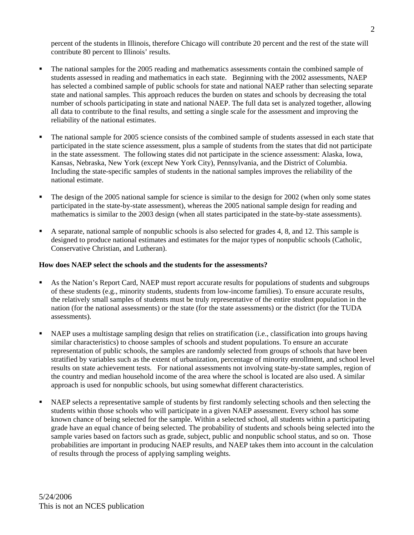percent of the students in Illinois, therefore Chicago will contribute 20 percent and the rest of the state will contribute 80 percent to Illinois' results.

- The national samples for the 2005 reading and mathematics assessments contain the combined sample of students assessed in reading and mathematics in each state. Beginning with the 2002 assessments, NAEP has selected a combined sample of public schools for state and national NAEP rather than selecting separate state and national samples. This approach reduces the burden on states and schools by decreasing the total number of schools participating in state and national NAEP. The full data set is analyzed together, allowing all data to contribute to the final results, and setting a single scale for the assessment and improving the reliability of the national estimates.
- The national sample for 2005 science consists of the combined sample of students assessed in each state that participated in the state science assessment, plus a sample of students from the states that did not participate in the state assessment. The following states did not participate in the science assessment: Alaska, Iowa, Kansas, Nebraska, New York (except New York City), Pennsylvania, and the District of Columbia. Including the state-specific samples of students in the national samples improves the reliability of the national estimate.
- The design of the 2005 national sample for science is similar to the design for 2002 (when only some states participated in the state-by-state assessment), whereas the 2005 national sample design for reading and mathematics is similar to the 2003 design (when all states participated in the state-by-state assessments).
- A separate, national sample of nonpublic schools is also selected for grades 4, 8, and 12. This sample is designed to produce national estimates and estimates for the major types of nonpublic schools (Catholic, Conservative Christian, and Lutheran).

#### **How does NAEP select the schools and the students for the assessments?**

- As the Nation's Report Card, NAEP must report accurate results for populations of students and subgroups of these students (e.g., minority students, students from low-income families). To ensure accurate results, the relatively small samples of students must be truly representative of the entire student population in the nation (for the national assessments) or the state (for the state assessments) or the district (for the TUDA assessments).
- NAEP uses a multistage sampling design that relies on stratification (i.e., classification into groups having similar characteristics) to choose samples of schools and student populations. To ensure an accurate representation of public schools, the samples are randomly selected from groups of schools that have been stratified by variables such as the extent of urbanization, percentage of minority enrollment, and school level results on state achievement tests. For national assessments not involving state-by-state samples, region of the country and median household income of the area where the school is located are also used. A similar approach is used for nonpublic schools, but using somewhat different characteristics.
- NAEP selects a representative sample of students by first randomly selecting schools and then selecting the students within those schools who will participate in a given NAEP assessment. Every school has some known chance of being selected for the sample. Within a selected school, all students within a participating grade have an equal chance of being selected. The probability of students and schools being selected into the sample varies based on factors such as grade, subject, public and nonpublic school status, and so on. Those probabilities are important in producing NAEP results, and NAEP takes them into account in the calculation of results through the process of applying sampling weights.